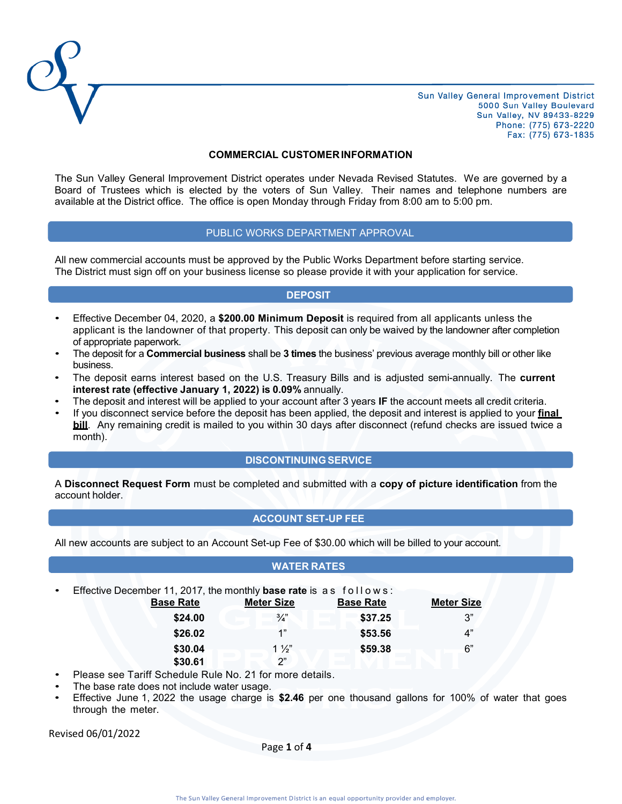

#### **COMMERCIAL CUSTOMERINFORMATION**

The Sun Valley General Improvement District operates under Nevada Revised Statutes. We are governed by a Board of Trustees which is elected by the voters of Sun Valley. Their names and telephone numbers are available at the District office. The office is open Monday through Friday from 8:00 am to 5:00 pm.

### PUBLIC WORKS DEPARTMENT APPROVAL

All new commercial accounts must be approved by the Public Works Department before starting service. The District must sign off on your business license so please provide it with your application for service.

### **DEPOSIT**

- Effective December 04, 2020, a **\$200.00 Minimum Deposit** is required from all applicants unless the applicant is the landowner of that property. This deposit can only be waived by the landowner after completion of appropriate paperwork.
- The deposit for a **Commercial business** shall be **3 times** the business' previous average monthly bill or other like business.
- The deposit earns interest based on the U.S. Treasury Bills and is adjusted semi-annually. The **current interest rate (effective January 1, 2022) is 0.09%** annually.
- The deposit and interest will be applied to your account after 3 years **IF** the account meets all credit criteria.
- If you disconnect service before the deposit has been applied, the deposit and interest is applied to your **final bill**. Any remaining credit is mailed to you within 30 days after disconnect (refund checks are issued twice a month).

### **DISCONTINUINGSERVICE**

A **Disconnect Request Form** must be completed and submitted with a **copy of picture identification** from the account holder.

## **ACCOUNT SET-UP FEE**

All new accounts are subject to an Account Set-up Fee of \$30.00 which will be billed to your account.

### **WATER RATES**

| $\bullet$ | Effective December 11, 2017, the monthly base rate is as follows: |                   |                  |                   |
|-----------|-------------------------------------------------------------------|-------------------|------------------|-------------------|
|           | <b>Base Rate</b>                                                  | <b>Meter Size</b> | <b>Base Rate</b> | <b>Meter Size</b> |
|           | \$24.00                                                           | $\frac{3}{4}$     | \$37.25          | 3"                |
|           | \$26.02                                                           | 1"                | \$53.56          | 4"                |
|           | \$30.04                                                           | $1\frac{1}{2}$    | \$59.38          | 6"                |
|           | \$30.61                                                           | ን"                |                  |                   |

Please see Tariff Schedule Rule No. 21 for more details.

- The base rate does not include water usage.
- Effective June 1, 2022 the usage charge is **\$2.46** per one thousand gallons for 100% of water that goes through the meter.

Revised 06/01/2022

Page **1** of **4**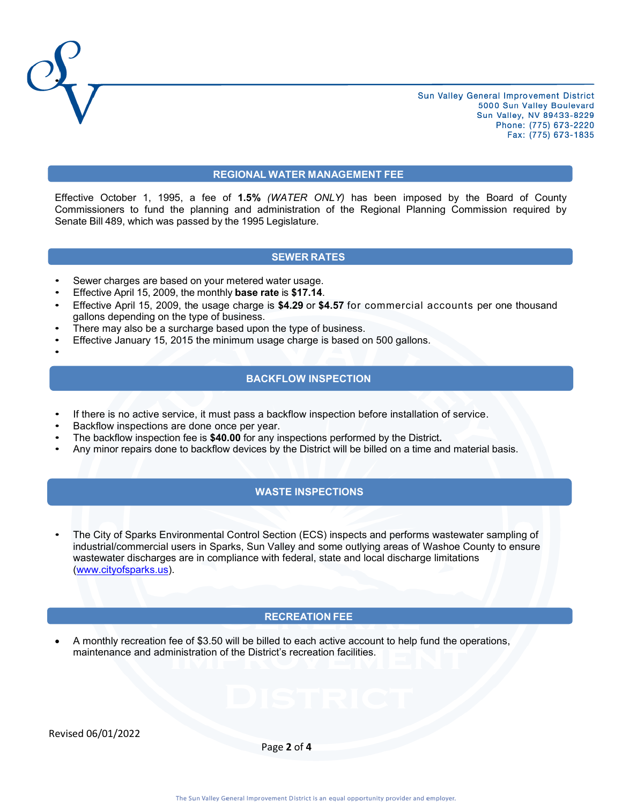

#### **REGIONAL WATER MANAGEMENT FEE**

Effective October 1, 1995, a fee of **1.5%** *(WATER ONLY)* has been imposed by the Board of County Commissioners to fund the planning and administration of the Regional Planning Commission required by Senate Bill 489, which was passed by the 1995 Legislature.

### **SEWER RATES**

- Sewer charges are based on your metered water usage.
- Effective April 15, 2009, the monthly **base rate** is **\$17.14**.
- Effective April 15, 2009, the usage charge is **\$4.29** or **\$4.57** for commercial accounts per one thousand gallons depending on the type of business.
- There may also be a surcharge based upon the type of business.
- Effective January 15, 2015 the minimum usage charge is based on 500 gallons.
- •

**\_** 

### **BACKFLOW INSPECTION**

- If there is no active service, it must pass a backflow inspection before installation of service.
- Backflow inspections are done once per year.
- The backflow inspection fee is **\$40.00** for any inspections performed by the District**.**
- Any minor repairs done to backflow devices by the District will be billed on a time and material basis.

## **WASTE INSPECTIONS**

• The City of Sparks Environmental Control Section (ECS) inspects and performs wastewater sampling of industrial/commercial users in Sparks, Sun Valley and some outlying areas of Washoe County to ensure wastewater discharges are in compliance with federal, state and local discharge limitations [\(www.cityofsparks.us\)](http://www.cityofsparks.us/).

### **RECREATION FEE**

• A monthly recreation fee of \$3.50 will be billed to each active account to help fund the operations, maintenance and administration of the District's recreation facilities.

Revised 06/01/2022

Page **2** of **4**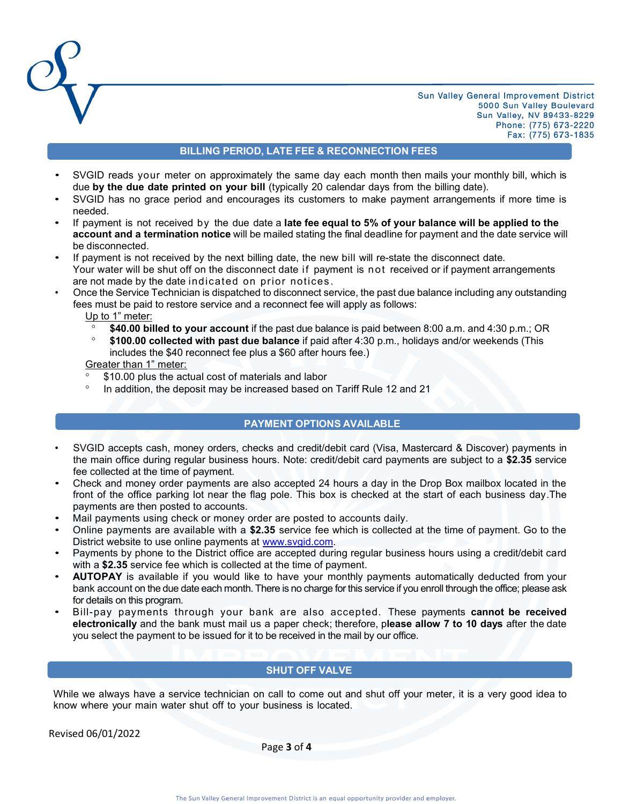

# **BILLING PERIOD, LATE FEE & RECONNECTION FEES**

- SVGID reads your meter on approximately the same day each month then mails your monthly bill, which is due **by the due date printed on your bill** (typically 20 calendar days from the billing date).
- SVGID has no grace period and encourages its customers to make payment arrangements if more time is needed.
- If payment is not received by the due date a **late fee equal to 5% of your balance will be applied to the account and a termination notice** will be mailed stating the final deadline for payment and the date service will be disconnected.
- If payment is not received by the next billing date, the new bill will re-state the disconnect date. Your water will be shut off on the disconnect date if payment is not received or if payment arrangements are not made by the date indicated on prior notices .
- Once the Service Technician is dispatched to disconnect service, the past due balance including any outstanding fees must be paid to restore service and a reconnect fee will apply as follows:
	- Up to 1" meter:
	- **\$40.00 billed to your account** if the past due balance is paid between 8:00 a.m. and 4:30 p.m.; OR
	- **\$100.00 collected with past due balance** if paid after 4:30 p.m., holidays and/or weekends (This includes the \$40 reconnect fee plus a \$60 after hours fee.)

Greater than 1" meter:

- \$10.00 plus the actual cost of materials and labor
- <sup>o</sup> In addition, the deposit may be increased based on Tariff Rule 12 and 21

### **PAYMENT OPTIONS AVAILABLE**

- SVGID accepts cash, money orders, checks and credit/debit card (Visa, Mastercard & Discover) payments in the main office during regular business hours. Note: credit/debit card payments are subject to a **\$2.35** service fee collected at the time of payment.
- Check and money order payments are also accepted 24 hours a day in the Drop Box mailbox located in the front of the office parking lot near the flag pole. This box is checked at the start of each business day.The payments are then posted to accounts.
- Mail payments using check or money order are posted to accounts daily.
- Online payments are available with a **\$2.35** service fee which is collected at the time of payment. Go to the District website to use online payments at [www.svgid.com.](http://www.svgid.com/)
- Payments by phone to the District office are accepted during regular business hours using a credit/debit card with a **\$2.35** service fee which is collected at the time of payment.
- **AUTOPAY** is available if you would like to have your monthly payments automatically deducted from your bank account on the due date each month. There is no charge for this service if you enroll through the office; please ask for details on this program.
- Bill-pay payments through your bank are also accepted. These payments **cannot be received electronically** and the bank must mail us a paper check; therefore, p**lease allow 7 to 10 days** after the date you select the payment to be issued for it to be received in the mail by our office.

### **SHUT OFF VALVE**

While we always have a service technician on call to come out and shut off your meter, it is a very good idea to know where your main water shut off to your business is located.

Revised 06/01/2022

Page **3** of **4**